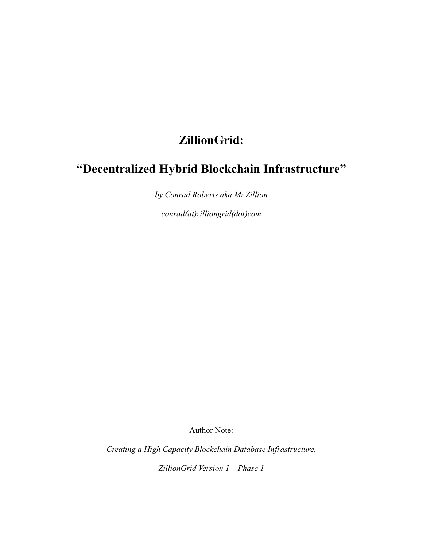## **ZillionGrid:**

# **"Decentralized Hybrid Blockchain Infrastructure"**

*by Conrad Roberts aka Mr.Zillion*

*conrad(at)zilliongrid(dot)com*

Author Note:

*Creating a High Capacity Blockchain Database Infrastructure.*

*ZillionGrid Version 1 – Phase 1*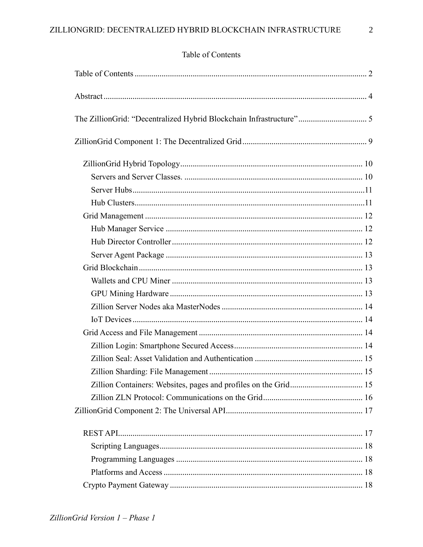## <span id="page-1-0"></span>Table of Contents

| The ZillionGrid: "Decentralized Hybrid Blockchain Infrastructure" 5 |  |
|---------------------------------------------------------------------|--|
|                                                                     |  |
|                                                                     |  |
|                                                                     |  |
|                                                                     |  |
|                                                                     |  |
|                                                                     |  |
|                                                                     |  |
|                                                                     |  |
|                                                                     |  |
|                                                                     |  |
|                                                                     |  |
|                                                                     |  |
|                                                                     |  |
|                                                                     |  |
|                                                                     |  |
|                                                                     |  |
|                                                                     |  |
|                                                                     |  |
|                                                                     |  |
|                                                                     |  |
|                                                                     |  |
|                                                                     |  |
|                                                                     |  |
|                                                                     |  |
|                                                                     |  |
|                                                                     |  |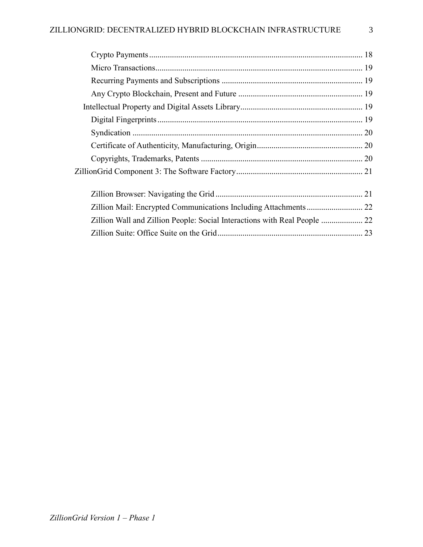| Zillion Wall and Zillion People: Social Interactions with Real People  22 |  |
|---------------------------------------------------------------------------|--|
|                                                                           |  |
|                                                                           |  |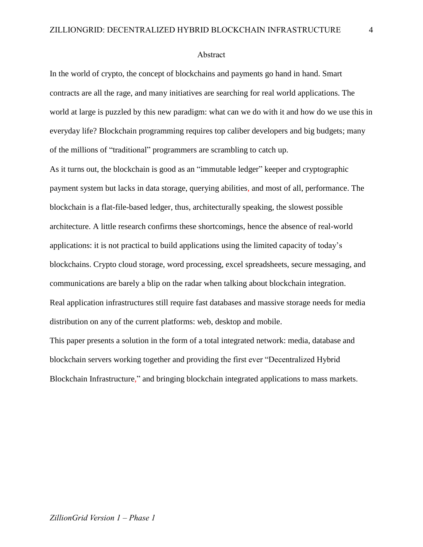#### <span id="page-3-0"></span>Abstract

In the world of crypto, the concept of blockchains and payments go hand in hand. Smart contracts are all the rage, and many initiatives are searching for real world applications. The world at large is puzzled by this new paradigm: what can we do with it and how do we use this in everyday life? Blockchain programming requires top caliber developers and big budgets; many of the millions of "traditional" programmers are scrambling to catch up.

As it turns out, the blockchain is good as an "immutable ledger" keeper and cryptographic payment system but lacks in data storage, querying abilities, and most of all, performance. The blockchain is a flat-file-based ledger, thus, architecturally speaking, the slowest possible architecture. A little research confirms these shortcomings, hence the absence of real-world applications: it is not practical to build applications using the limited capacity of today's blockchains. Crypto cloud storage, word processing, excel spreadsheets, secure messaging, and communications are barely a blip on the radar when talking about blockchain integration. Real application infrastructures still require fast databases and massive storage needs for media distribution on any of the current platforms: web, desktop and mobile.

This paper presents a solution in the form of a total integrated network: media, database and blockchain servers working together and providing the first ever "Decentralized Hybrid Blockchain Infrastructure," and bringing blockchain integrated applications to mass markets.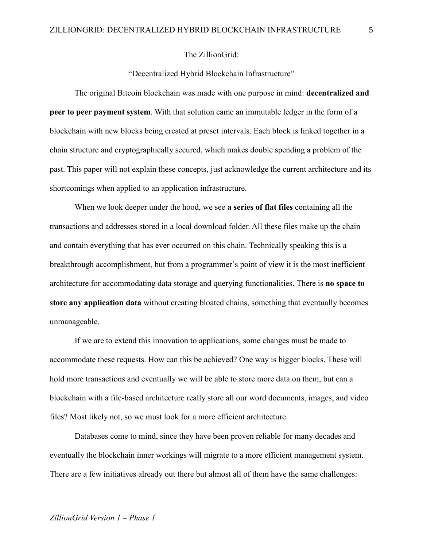#### The ZillionGrid:

"Decentralized Hybrid Blockchain Infrastructure"

<span id="page-4-0"></span>The original Bitcoin blockchain was made with one purpose in mind: **decentralized and peer to peer payment system**. With that solution came an immutable ledger in the form of a blockchain with new blocks being created at preset intervals. Each block is linked together in a chain structure and cryptographically secured, which makes double spending a problem of the past. This paper will not explain these concepts, just acknowledge the current architecture and its shortcomings when applied to an application infrastructure.

When we look deeper under the hood, we see **a series of flat files** containing all the transactions and addresses stored in a local download folder. All these files make up the chain and contain everything that has ever occurred on this chain. Technically speaking this is a breakthrough accomplishment, but from a programmer's point of view it is the most inefficient architecture for accommodating data storage and querying functionalities. There is **no space to store any application data** without creating bloated chains, something that eventually becomes unmanageable.

If we are to extend this innovation to applications, some changes must be made to accommodate these requests. How can this be achieved? One way is bigger blocks. These will hold more transactions and eventually we will be able to store more data on them, but can a blockchain with a file-based architecture really store all our word documents, images, and video files? Most likely not, so we must look for a more efficient architecture.

Databases come to mind, since they have been proven reliable for many decades and eventually the blockchain inner workings will migrate to a more efficient management system. There are a few initiatives already out there but almost all of them have the same challenges: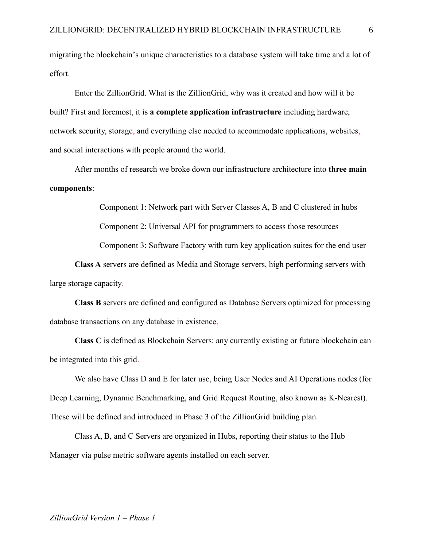migrating the blockchain's unique characteristics to a database system will take time and a lot of effort.

Enter the ZillionGrid. What is the ZillionGrid, why was it created and how will it be built? First and foremost, it is **a complete application infrastructure** including hardware, network security, storage, and everything else needed to accommodate applications, websites, and social interactions with people around the world.

After months of research we broke down our infrastructure architecture into **three main components**:

Component 1: Network part with Server Classes A, B and C clustered in hubs

Component 2: Universal API for programmers to access those resources

Component 3: Software Factory with turn key application suites for the end user

**Class A** servers are defined as Media and Storage servers, high performing servers with large storage capacity.

**Class B** servers are defined and configured as Database Servers optimized for processing database transactions on any database in existence.

**Class C** is defined as Blockchain Servers: any currently existing or future blockchain can be integrated into this grid.

We also have Class D and E for later use, being User Nodes and AI Operations nodes (for Deep Learning, Dynamic Benchmarking, and Grid Request Routing, also known as K-Nearest). These will be defined and introduced in Phase 3 of the ZillionGrid building plan.

Class A, B, and C Servers are organized in Hubs, reporting their status to the Hub Manager via pulse metric software agents installed on each server.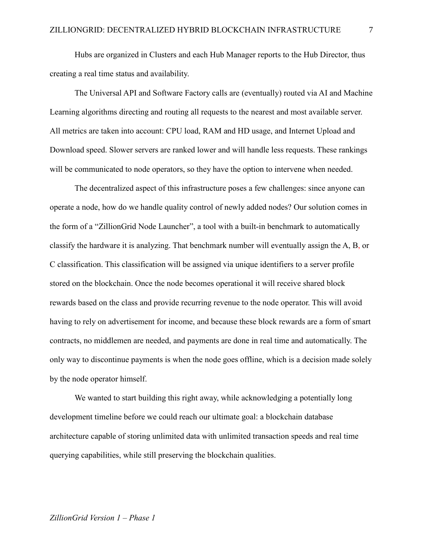Hubs are organized in Clusters and each Hub Manager reports to the Hub Director, thus creating a real time status and availability.

The Universal API and Software Factory calls are (eventually) routed via AI and Machine Learning algorithms directing and routing all requests to the nearest and most available server. All metrics are taken into account: CPU load, RAM and HD usage, and Internet Upload and Download speed. Slower servers are ranked lower and will handle less requests. These rankings will be communicated to node operators, so they have the option to intervene when needed.

The decentralized aspect of this infrastructure poses a few challenges: since anyone can operate a node, how do we handle quality control of newly added nodes? Our solution comes in the form of a "ZillionGrid Node Launcher", a tool with a built-in benchmark to automatically classify the hardware it is analyzing. That benchmark number will eventually assign the A, B, or C classification. This classification will be assigned via unique identifiers to a server profile stored on the blockchain. Once the node becomes operational it will receive shared block rewards based on the class and provide recurring revenue to the node operator. This will avoid having to rely on advertisement for income, and because these block rewards are a form of smart contracts, no middlemen are needed, and payments are done in real time and automatically. The only way to discontinue payments is when the node goes offline, which is a decision made solely by the node operator himself.

We wanted to start building this right away, while acknowledging a potentially long development timeline before we could reach our ultimate goal: a blockchain database architecture capable of storing unlimited data with unlimited transaction speeds and real time querying capabilities, while still preserving the blockchain qualities.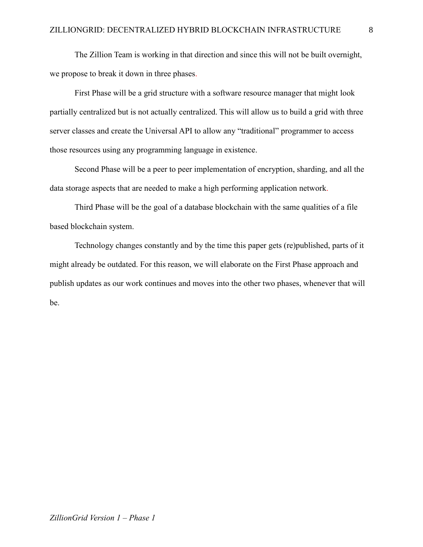The Zillion Team is working in that direction and since this will not be built overnight, we propose to break it down in three phases.

First Phase will be a grid structure with a software resource manager that might look partially centralized but is not actually centralized. This will allow us to build a grid with three server classes and create the Universal API to allow any "traditional" programmer to access those resources using any programming language in existence.

Second Phase will be a peer to peer implementation of encryption, sharding, and all the data storage aspects that are needed to make a high performing application network.

Third Phase will be the goal of a database blockchain with the same qualities of a file based blockchain system.

Technology changes constantly and by the time this paper gets (re)published, parts of it might already be outdated. For this reason, we will elaborate on the First Phase approach and publish updates as our work continues and moves into the other two phases, whenever that will be.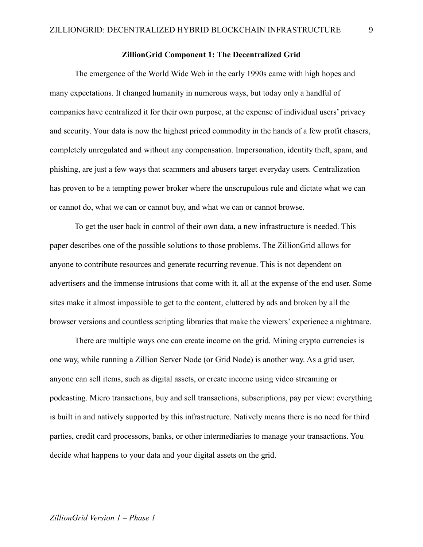#### **ZillionGrid Component 1: The Decentralized Grid**

<span id="page-8-0"></span>The emergence of the World Wide Web in the early 1990s came with high hopes and many expectations. It changed humanity in numerous ways, but today only a handful of companies have centralized it for their own purpose, at the expense of individual users' privacy and security. Your data is now the highest priced commodity in the hands of a few profit chasers, completely unregulated and without any compensation. Impersonation, identity theft, spam, and phishing, are just a few ways that scammers and abusers target everyday users. Centralization has proven to be a tempting power broker where the unscrupulous rule and dictate what we can or cannot do, what we can or cannot buy, and what we can or cannot browse.

To get the user back in control of their own data, a new infrastructure is needed. This paper describes one of the possible solutions to those problems. The ZillionGrid allows for anyone to contribute resources and generate recurring revenue. This is not dependent on advertisers and the immense intrusions that come with it, all at the expense of the end user. Some sites make it almost impossible to get to the content, cluttered by ads and broken by all the browser versions and countless scripting libraries that make the viewers' experience a nightmare.

There are multiple ways one can create income on the grid. Mining crypto currencies is one way, while running a Zillion Server Node (or Grid Node) is another way. As a grid user, anyone can sell items, such as digital assets, or create income using video streaming or podcasting. Micro transactions, buy and sell transactions, subscriptions, pay per view: everything is built in and natively supported by this infrastructure. Natively means there is no need for third parties, credit card processors, banks, or other intermediaries to manage your transactions. You decide what happens to your data and your digital assets on the grid.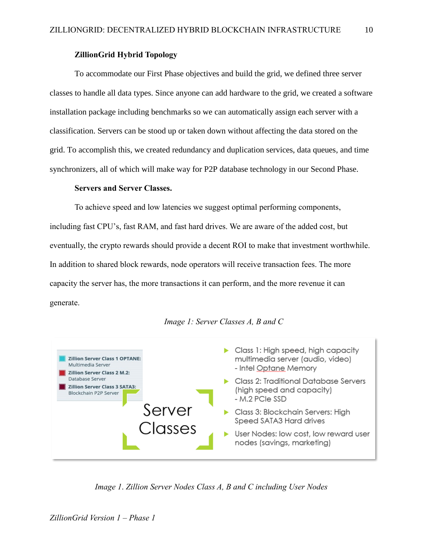## **ZillionGrid Hybrid Topology**

<span id="page-9-0"></span>To accommodate our First Phase objectives and build the grid, we defined three server classes to handle all data types. Since anyone can add hardware to the grid, we created a software installation package including benchmarks so we can automatically assign each server with a classification. Servers can be stood up or taken down without affecting the data stored on the grid. To accomplish this, we created redundancy and duplication services, data queues, and time synchronizers, all of which will make way for P2P database technology in our Second Phase.

#### **Servers and Server Classes.**

<span id="page-9-1"></span>To achieve speed and low latencies we suggest optimal performing components, including fast CPU's, fast RAM, and fast hard drives. We are aware of the added cost, but eventually, the crypto rewards should provide a decent ROI to make that investment worthwhile. In addition to shared block rewards, node operators will receive transaction fees. The more capacity the server has, the more transactions it can perform, and the more revenue it can generate.



#### *Image 1: Server Classes A, B and C*

*Image 1*. *Zillion Server Nodes Class A, B and C including User Nodes*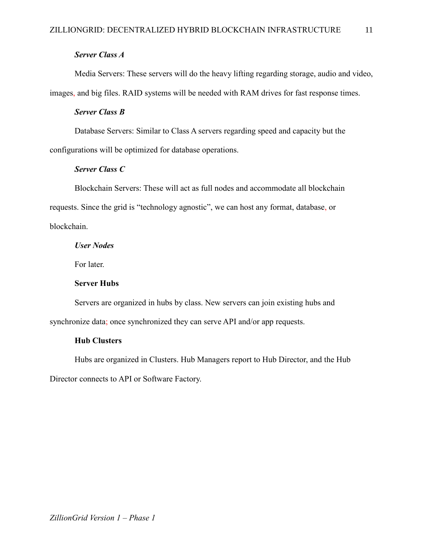## *Server Class A*

Media Servers: These servers will do the heavy lifting regarding storage, audio and video, images, and big files. RAID systems will be needed with RAM drives for fast response times.

## *Server Class B*

Database Servers: Similar to Class A servers regarding speed and capacity but the configurations will be optimized for database operations.

## *Server Class C*

Blockchain Servers: These will act as full nodes and accommodate all blockchain requests. Since the grid is "technology agnostic", we can host any format, database, or blockchain.

*User Nodes*

For later.

#### **Server Hubs**

<span id="page-10-0"></span>Servers are organized in hubs by class. New servers can join existing hubs and synchronize data; once synchronized they can serve API and/or app requests.

## <span id="page-10-1"></span>**Hub Clusters**

Hubs are organized in Clusters. Hub Managers report to Hub Director, and the Hub

Director connects to API or Software Factory.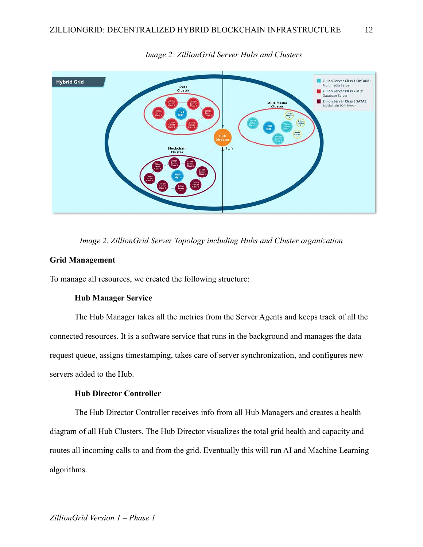

*Image 2: ZillionGrid Server Hubs and Clusters*

*Image 2*. *ZillionGrid Server Topology including Hubs and Cluster organization*

## <span id="page-11-0"></span>**Grid Management**

<span id="page-11-1"></span>To manage all resources, we created the following structure:

#### **Hub Manager Service**

The Hub Manager takes all the metrics from the Server Agents and keeps track of all the connected resources. It is a software service that runs in the background and manages the data request queue, assigns timestamping, takes care of server synchronization, and configures new servers added to the Hub.

## **Hub Director Controller**

<span id="page-11-2"></span>The Hub Director Controller receives info from all Hub Managers and creates a health diagram of all Hub Clusters. The Hub Director visualizes the total grid health and capacity and routes all incoming calls to and from the grid. Eventually this will run AI and Machine Learning algorithms.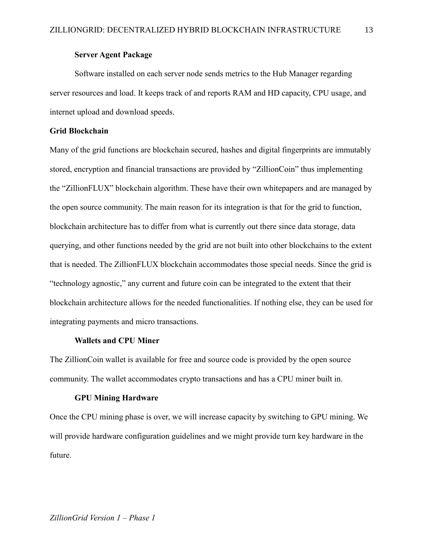## **Server Agent Package**

<span id="page-12-0"></span>Software installed on each server node sends metrics to the Hub Manager regarding server resources and load. It keeps track of and reports RAM and HD capacity, CPU usage, and internet upload and download speeds.

## <span id="page-12-1"></span>**Grid Blockchain**

Many of the grid functions are blockchain secured, hashes and digital fingerprints are immutably stored, encryption and financial transactions are provided by "ZillionCoin" thus implementing the "ZillionFLUX" blockchain algorithm. These have their own whitepapers and are managed by the open source community. The main reason for its integration is that for the grid to function, blockchain architecture has to differ from what is currently out there since data storage, data querying, and other functions needed by the grid are not built into other blockchains to the extent that is needed. The ZillionFLUX blockchain accommodates those special needs. Since the grid is "technology agnostic," any current and future coin can be integrated to the extent that their blockchain architecture allows for the needed functionalities. If nothing else, they can be used for integrating payments and micro transactions.

## **Wallets and CPU Miner**

<span id="page-12-2"></span>The ZillionCoin wallet is available for free and source code is provided by the open source community. The wallet accommodates crypto transactions and has a CPU miner built in.

#### **GPU Mining Hardware**

<span id="page-12-3"></span>Once the CPU mining phase is over, we will increase capacity by switching to GPU mining. We will provide hardware configuration guidelines and we might provide turn key hardware in the future.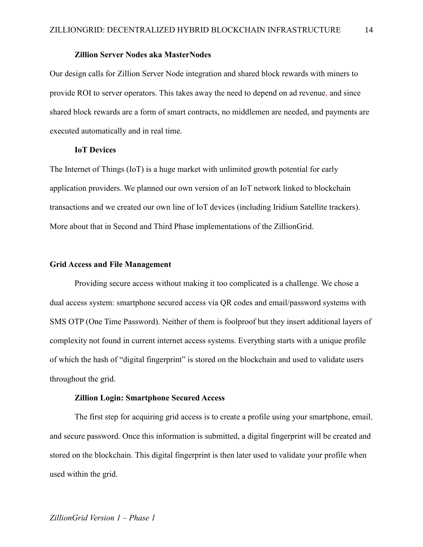#### **Zillion Server Nodes aka MasterNodes**

<span id="page-13-0"></span>Our design calls for Zillion Server Node integration and shared block rewards with miners to provide ROI to server operators. This takes away the need to depend on ad revenue, and since shared block rewards are a form of smart contracts, no middlemen are needed, and payments are executed automatically and in real time.

#### **IoT Devices**

<span id="page-13-1"></span>The Internet of Things (IoT) is a huge market with unlimited growth potential for early application providers. We planned our own version of an IoT network linked to blockchain transactions and we created our own line of IoT devices (including Iridium Satellite trackers). More about that in Second and Third Phase implementations of the ZillionGrid.

#### <span id="page-13-2"></span>**Grid Access and File Management**

Providing secure access without making it too complicated is a challenge. We chose a dual access system: smartphone secured access via QR codes and email/password systems with SMS OTP (One Time Password). Neither of them is foolproof but they insert additional layers of complexity not found in current internet access systems. Everything starts with a unique profile of which the hash of "digital fingerprint" is stored on the blockchain and used to validate users throughout the grid.

#### **Zillion Login: Smartphone Secured Access**

<span id="page-13-3"></span>The first step for acquiring grid access is to create a profile using your smartphone, email, and secure password. Once this information is submitted, a digital fingerprint will be created and stored on the blockchain. This digital fingerprint is then later used to validate your profile when used within the grid.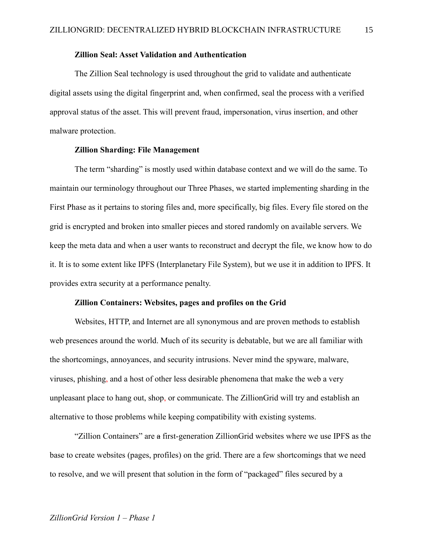#### **Zillion Seal: Asset Validation and Authentication**

<span id="page-14-0"></span>The Zillion Seal technology is used throughout the grid to validate and authenticate digital assets using the digital fingerprint and, when confirmed, seal the process with a verified approval status of the asset. This will prevent fraud, impersonation, virus insertion, and other malware protection.

#### **Zillion Sharding: File Management**

<span id="page-14-1"></span>The term "sharding" is mostly used within database context and we will do the same. To maintain our terminology throughout our Three Phases, we started implementing sharding in the First Phase as it pertains to storing files and, more specifically, big files. Every file stored on the grid is encrypted and broken into smaller pieces and stored randomly on available servers. We keep the meta data and when a user wants to reconstruct and decrypt the file, we know how to do it. It is to some extent like IPFS (Interplanetary File System), but we use it in addition to IPFS. It provides extra security at a performance penalty.

#### **Zillion Containers: Websites, pages and profiles on the Grid**

<span id="page-14-2"></span>Websites, HTTP, and Internet are all synonymous and are proven methods to establish web presences around the world. Much of its security is debatable, but we are all familiar with the shortcomings, annoyances, and security intrusions. Never mind the spyware, malware, viruses, phishing, and a host of other less desirable phenomena that make the web a very unpleasant place to hang out, shop, or communicate. The ZillionGrid will try and establish an alternative to those problems while keeping compatibility with existing systems.

"Zillion Containers" are a first-generation ZillionGrid websites where we use IPFS as the base to create websites (pages, profiles) on the grid. There are a few shortcomings that we need to resolve, and we will present that solution in the form of "packaged" files secured by a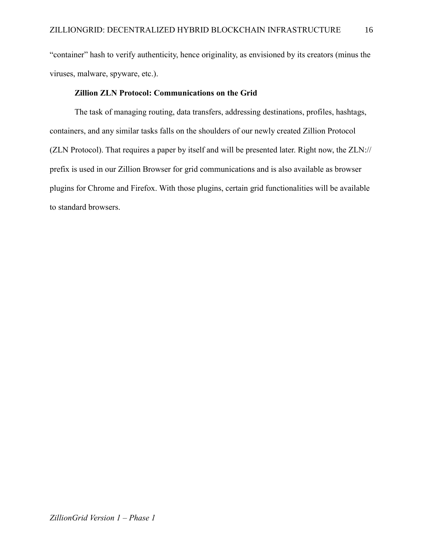"container" hash to verify authenticity, hence originality, as envisioned by its creators (minus the viruses, malware, spyware, etc.).

## **Zillion ZLN Protocol: Communications on the Grid**

<span id="page-15-0"></span>The task of managing routing, data transfers, addressing destinations, profiles, hashtags, containers, and any similar tasks falls on the shoulders of our newly created Zillion Protocol (ZLN Protocol). That requires a paper by itself and will be presented later. Right now, the ZLN:// prefix is used in our Zillion Browser for grid communications and is also available as browser plugins for Chrome and Firefox. With those plugins, certain grid functionalities will be available to standard browsers.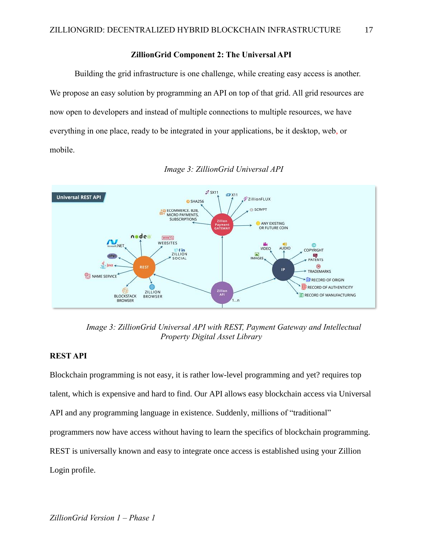## **ZillionGrid Component 2: The Universal API**

<span id="page-16-0"></span>Building the grid infrastructure is one challenge, while creating easy access is another. We propose an easy solution by programming an API on top of that grid. All grid resources are now open to developers and instead of multiple connections to multiple resources, we have everything in one place, ready to be integrated in your applications, be it desktop, web, or mobile.



*Image 3: ZillionGrid Universal API*

*Image 3: ZillionGrid Universal API with REST, Payment Gateway and Intellectual Property Digital Asset Library*

## <span id="page-16-1"></span>**REST API**

Blockchain programming is not easy, it is rather low-level programming and yet? requires top talent, which is expensive and hard to find. Our API allows easy blockchain access via Universal API and any programming language in existence. Suddenly, millions of "traditional" programmers now have access without having to learn the specifics of blockchain programming. REST is universally known and easy to integrate once access is established using your Zillion Login profile.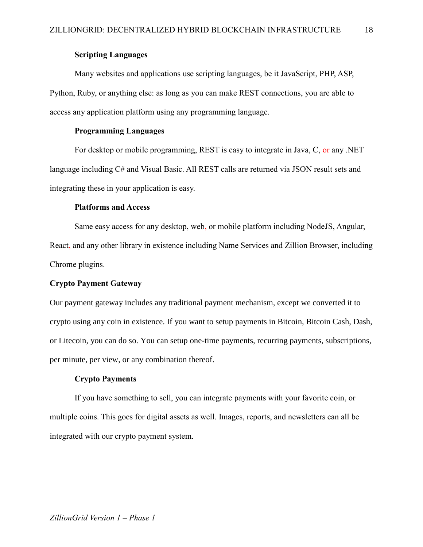## **Scripting Languages**

<span id="page-17-0"></span>Many websites and applications use scripting languages, be it JavaScript, PHP, ASP, Python, Ruby, or anything else: as long as you can make REST connections, you are able to access any application platform using any programming language.

## **Programming Languages**

<span id="page-17-1"></span>For desktop or mobile programming, REST is easy to integrate in Java, C, or any .NET language including C# and Visual Basic. All REST calls are returned via JSON result sets and integrating these in your application is easy.

### **Platforms and Access**

<span id="page-17-2"></span>Same easy access for any desktop, web, or mobile platform including NodeJS, Angular, React, and any other library in existence including Name Services and Zillion Browser, including Chrome plugins.

#### <span id="page-17-3"></span>**Crypto Payment Gateway**

Our payment gateway includes any traditional payment mechanism, except we converted it to crypto using any coin in existence. If you want to setup payments in Bitcoin, Bitcoin Cash, Dash, or Litecoin, you can do so. You can setup one-time payments, recurring payments, subscriptions, per minute, per view, or any combination thereof.

#### **Crypto Payments**

<span id="page-17-4"></span>If you have something to sell, you can integrate payments with your favorite coin, or multiple coins. This goes for digital assets as well. Images, reports, and newsletters can all be integrated with our crypto payment system.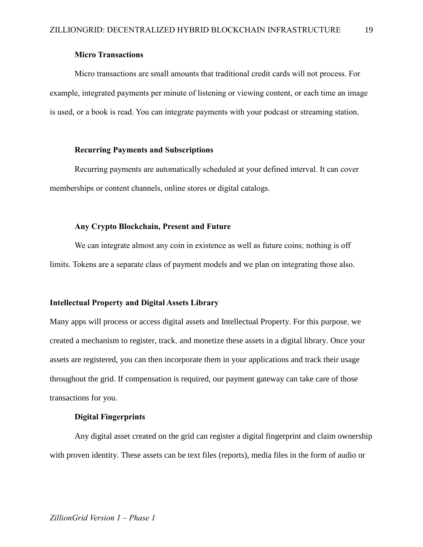### **Micro Transactions**

<span id="page-18-0"></span>Micro transactions are small amounts that traditional credit cards will not process. For example, integrated payments per minute of listening or viewing content, or each time an image is used, or a book is read. You can integrate payments with your podcast or streaming station.

## **Recurring Payments and Subscriptions**

<span id="page-18-1"></span>Recurring payments are automatically scheduled at your defined interval. It can cover memberships or content channels, online stores or digital catalogs.

#### **Any Crypto Blockchain, Present and Future**

<span id="page-18-2"></span>We can integrate almost any coin in existence as well as future coins; nothing is off limits. Tokens are a separate class of payment models and we plan on integrating those also.

#### <span id="page-18-3"></span>**Intellectual Property and Digital Assets Library**

Many apps will process or access digital assets and Intellectual Property. For this purpose, we created a mechanism to register, track, and monetize these assets in a digital library. Once your assets are registered, you can then incorporate them in your applications and track their usage throughout the grid. If compensation is required, our payment gateway can take care of those transactions for you.

## **Digital Fingerprints**

<span id="page-18-4"></span>Any digital asset created on the grid can register a digital fingerprint and claim ownership with proven identity. These assets can be text files (reports), media files in the form of audio or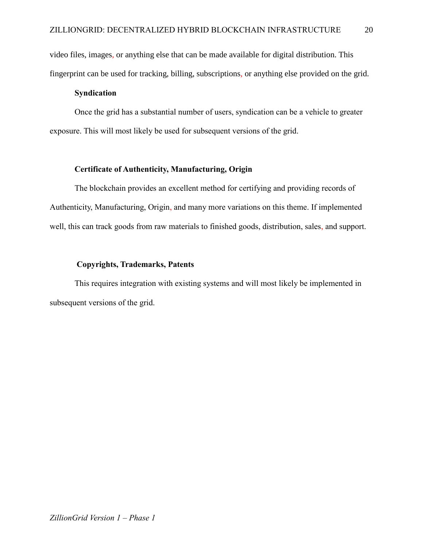video files, images, or anything else that can be made available for digital distribution. This fingerprint can be used for tracking, billing, subscriptions, or anything else provided on the grid.

## **Syndication**

<span id="page-19-0"></span>Once the grid has a substantial number of users, syndication can be a vehicle to greater exposure. This will most likely be used for subsequent versions of the grid.

### **Certificate of Authenticity, Manufacturing, Origin**

<span id="page-19-1"></span>The blockchain provides an excellent method for certifying and providing records of Authenticity, Manufacturing, Origin, and many more variations on this theme. If implemented well, this can track goods from raw materials to finished goods, distribution, sales, and support.

#### <span id="page-19-2"></span>**Copyrights, Trademarks, Patents**

This requires integration with existing systems and will most likely be implemented in subsequent versions of the grid.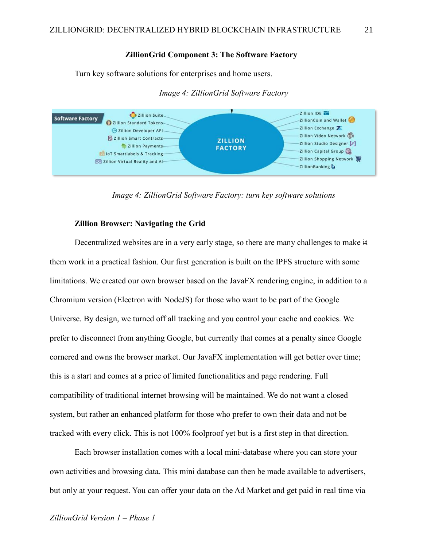#### **ZillionGrid Component 3: The Software Factory**

<span id="page-20-0"></span>Turn key software solutions for enterprises and home users.



*Image 4: ZillionGrid Software Factory*

*Image 4: ZillionGrid Software Factory: turn key software solutions*

## **Zillion Browser: Navigating the Grid**

<span id="page-20-1"></span>Decentralized websites are in a very early stage, so there are many challenges to make it them work in a practical fashion. Our first generation is built on the IPFS structure with some limitations. We created our own browser based on the JavaFX rendering engine, in addition to a Chromium version (Electron with NodeJS) for those who want to be part of the Google Universe. By design, we turned off all tracking and you control your cache and cookies. We prefer to disconnect from anything Google, but currently that comes at a penalty since Google cornered and owns the browser market. Our JavaFX implementation will get better over time; this is a start and comes at a price of limited functionalities and page rendering. Full compatibility of traditional internet browsing will be maintained. We do not want a closed system, but rather an enhanced platform for those who prefer to own their data and not be tracked with every click. This is not 100% foolproof yet but is a first step in that direction.

Each browser installation comes with a local mini-database where you can store your own activities and browsing data. This mini database can then be made available to advertisers, but only at your request. You can offer your data on the Ad Market and get paid in real time via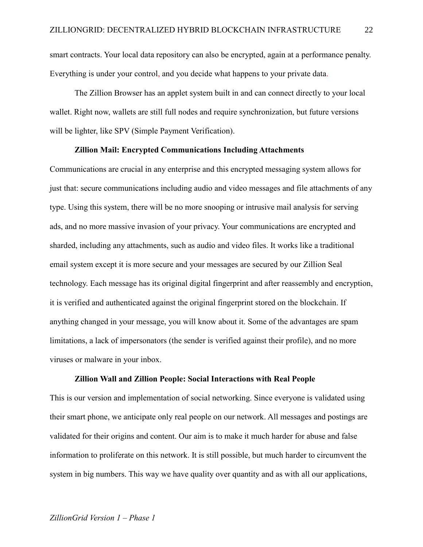smart contracts. Your local data repository can also be encrypted, again at a performance penalty. Everything is under your control, and you decide what happens to your private data.

The Zillion Browser has an applet system built in and can connect directly to your local wallet. Right now, wallets are still full nodes and require synchronization, but future versions will be lighter, like SPV (Simple Payment Verification).

#### **Zillion Mail: Encrypted Communications Including Attachments**

<span id="page-21-0"></span>Communications are crucial in any enterprise and this encrypted messaging system allows for just that: secure communications including audio and video messages and file attachments of any type. Using this system, there will be no more snooping or intrusive mail analysis for serving ads, and no more massive invasion of your privacy. Your communications are encrypted and sharded, including any attachments, such as audio and video files. It works like a traditional email system except it is more secure and your messages are secured by our Zillion Seal technology. Each message has its original digital fingerprint and after reassembly and encryption, it is verified and authenticated against the original fingerprint stored on the blockchain. If anything changed in your message, you will know about it. Some of the advantages are spam limitations, a lack of impersonators (the sender is verified against their profile), and no more viruses or malware in your inbox.

## **Zillion Wall and Zillion People: Social Interactions with Real People**

<span id="page-21-1"></span>This is our version and implementation of social networking. Since everyone is validated using their smart phone, we anticipate only real people on our network. All messages and postings are validated for their origins and content. Our aim is to make it much harder for abuse and false information to proliferate on this network. It is still possible, but much harder to circumvent the system in big numbers. This way we have quality over quantity and as with all our applications,